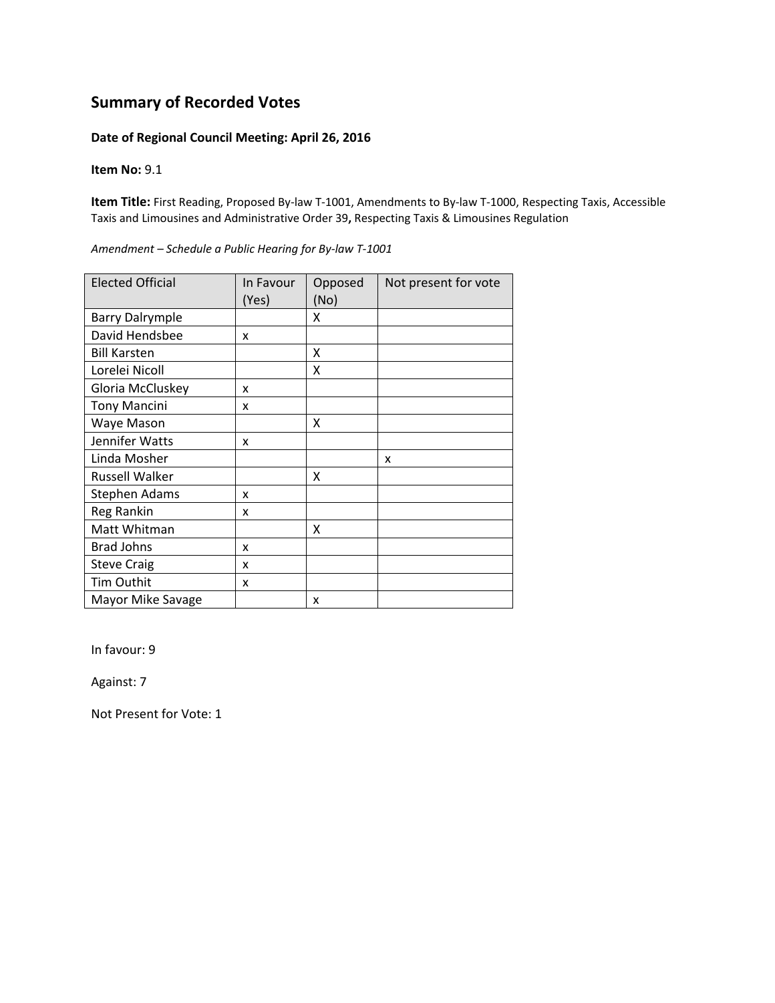### **Date of Regional Council Meeting: April 26, 2016**

**Item No:** 9.1

**Item Title:** First Reading, Proposed By‐law T‐1001, Amendments to By‐law T‐1000, Respecting Taxis, Accessible Taxis and Limousines and Administrative Order 39**,** Respecting Taxis & Limousines Regulation

| <b>Elected Official</b> | In Favour<br>(Yes) | Opposed<br>(No) | Not present for vote |
|-------------------------|--------------------|-----------------|----------------------|
| <b>Barry Dalrymple</b>  |                    | X               |                      |
| David Hendsbee          | x                  |                 |                      |
| <b>Bill Karsten</b>     |                    | X               |                      |
| Lorelei Nicoll          |                    | X               |                      |
| Gloria McCluskey        | x                  |                 |                      |
| <b>Tony Mancini</b>     | x                  |                 |                      |
| Waye Mason              |                    | x               |                      |
| Jennifer Watts          | x                  |                 |                      |
| Linda Mosher            |                    |                 | x                    |
| <b>Russell Walker</b>   |                    | x               |                      |
| Stephen Adams           | x                  |                 |                      |
| Reg Rankin              | x                  |                 |                      |
| Matt Whitman            |                    | X               |                      |
| <b>Brad Johns</b>       | x                  |                 |                      |
| <b>Steve Craig</b>      | x                  |                 |                      |
| Tim Outhit              | x                  |                 |                      |
| Mayor Mike Savage       |                    | x               |                      |

*Amendment – Schedule a Public Hearing for By‐law T‐1001*

In favour: 9

Against: 7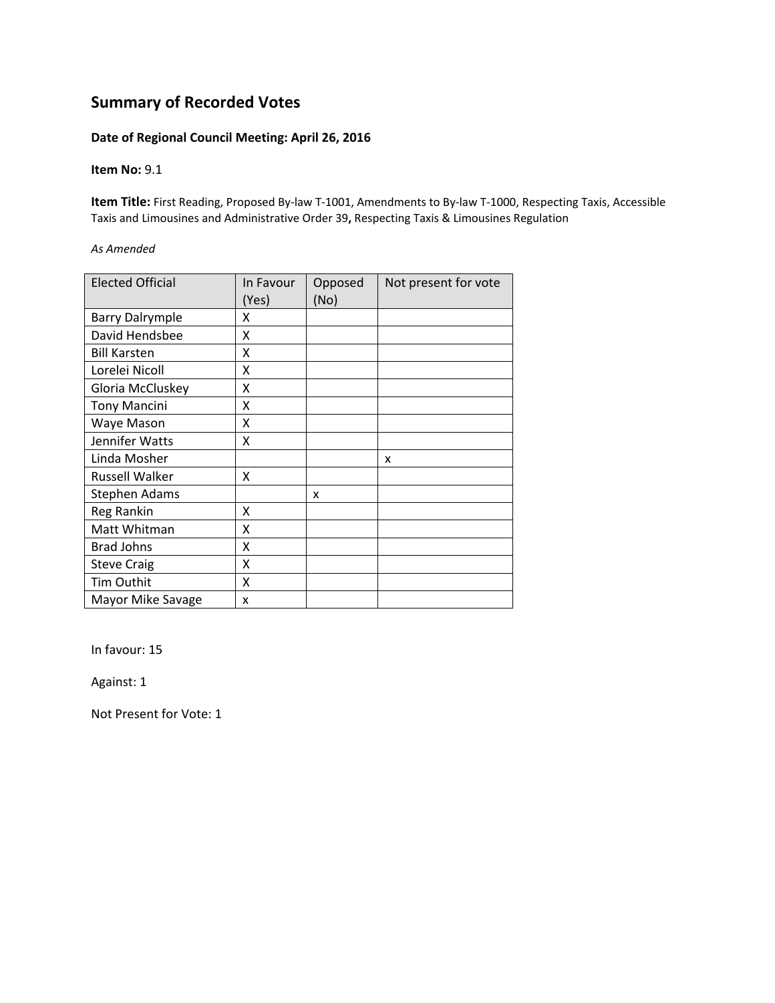### **Date of Regional Council Meeting: April 26, 2016**

#### **Item No:** 9.1

**Item Title:** First Reading, Proposed By‐law T‐1001, Amendments to By‐law T‐1000, Respecting Taxis, Accessible Taxis and Limousines and Administrative Order 39**,** Respecting Taxis & Limousines Regulation

#### *As Amended*

| <b>Elected Official</b> | In Favour<br>(Yes) | Opposed<br>(No) | Not present for vote |
|-------------------------|--------------------|-----------------|----------------------|
| <b>Barry Dalrymple</b>  | x                  |                 |                      |
| David Hendsbee          | Χ                  |                 |                      |
| <b>Bill Karsten</b>     | X                  |                 |                      |
| Lorelei Nicoll          | Χ                  |                 |                      |
| Gloria McCluskey        | χ                  |                 |                      |
| <b>Tony Mancini</b>     | χ                  |                 |                      |
| Waye Mason              | χ                  |                 |                      |
| Jennifer Watts          | Χ                  |                 |                      |
| Linda Mosher            |                    |                 | x                    |
| <b>Russell Walker</b>   | χ                  |                 |                      |
| <b>Stephen Adams</b>    |                    | x               |                      |
| Reg Rankin              | X                  |                 |                      |
| Matt Whitman            | X                  |                 |                      |
| <b>Brad Johns</b>       | Χ                  |                 |                      |
| <b>Steve Craig</b>      | Χ                  |                 |                      |
| Tim Outhit              | Χ                  |                 |                      |
| Mayor Mike Savage       | x                  |                 |                      |

In favour: 15

Against: 1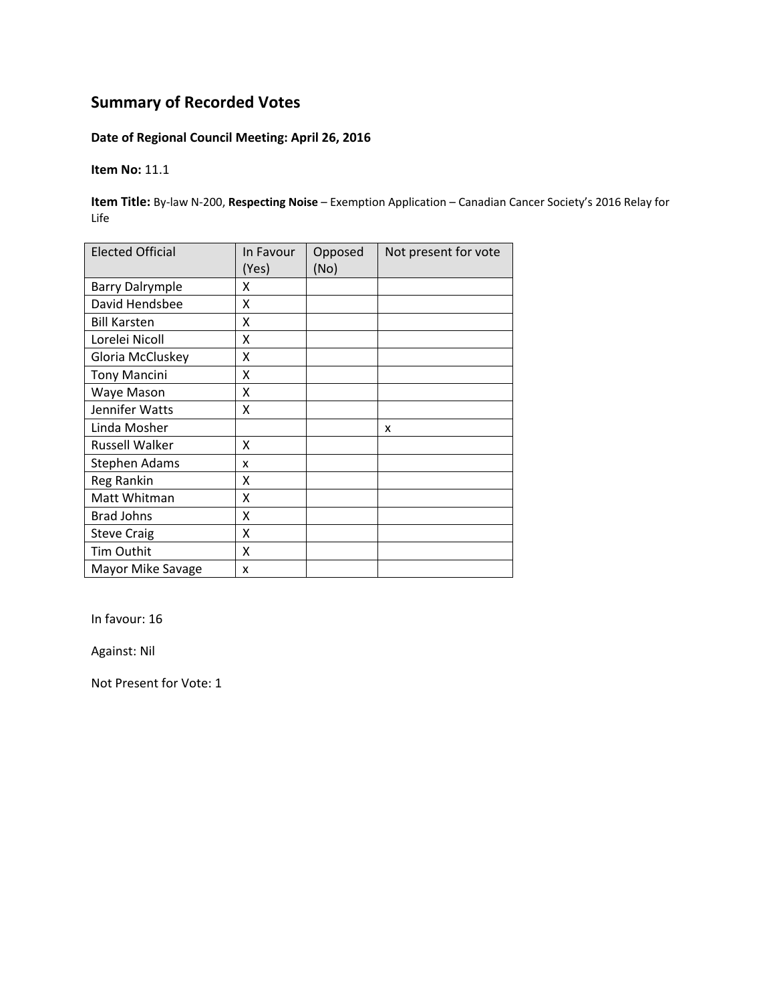## **Date of Regional Council Meeting: April 26, 2016**

**Item No:** 11.1

**Item Title:** By‐law N‐200, **Respecting Noise** – Exemption Application – Canadian Cancer Society's 2016 Relay for Life

| <b>Elected Official</b> | In Favour<br>(Yes) | Opposed<br>(No) | Not present for vote |
|-------------------------|--------------------|-----------------|----------------------|
| <b>Barry Dalrymple</b>  | x                  |                 |                      |
| David Hendsbee          | X                  |                 |                      |
| <b>Bill Karsten</b>     | X                  |                 |                      |
| Lorelei Nicoll          | X                  |                 |                      |
| Gloria McCluskey        | X                  |                 |                      |
| <b>Tony Mancini</b>     | X                  |                 |                      |
| Waye Mason              | Χ                  |                 |                      |
| Jennifer Watts          | Χ                  |                 |                      |
| Linda Mosher            |                    |                 | x                    |
| <b>Russell Walker</b>   | Χ                  |                 |                      |
| <b>Stephen Adams</b>    | x                  |                 |                      |
| Reg Rankin              | Χ                  |                 |                      |
| Matt Whitman            | χ                  |                 |                      |
| <b>Brad Johns</b>       | Χ                  |                 |                      |
| <b>Steve Craig</b>      | Χ                  |                 |                      |
| Tim Outhit              | X                  |                 |                      |
| Mayor Mike Savage       | x                  |                 |                      |

In favour: 16

Against: Nil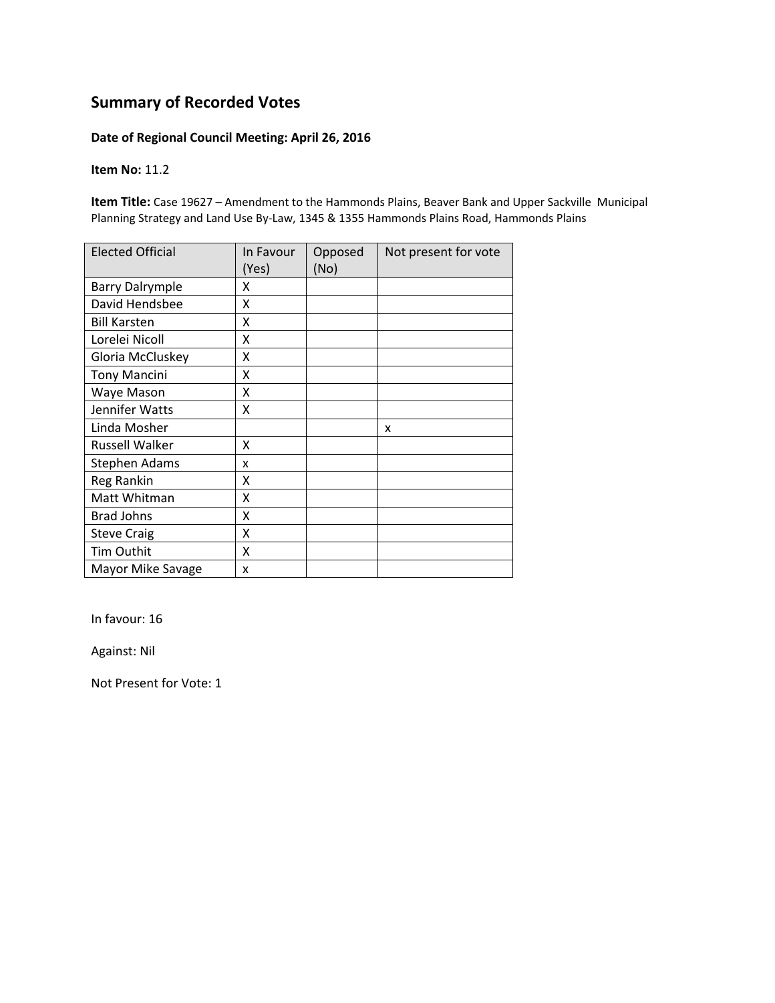### **Date of Regional Council Meeting: April 26, 2016**

### **Item No:** 11.2

**Item Title:** Case 19627 – Amendment to the Hammonds Plains, Beaver Bank and Upper Sackville Municipal Planning Strategy and Land Use By‐Law, 1345 & 1355 Hammonds Plains Road, Hammonds Plains

| <b>Elected Official</b> | In Favour<br>(Yes) | Opposed<br>(No) | Not present for vote |
|-------------------------|--------------------|-----------------|----------------------|
| <b>Barry Dalrymple</b>  | x                  |                 |                      |
| David Hendsbee          | X                  |                 |                      |
| <b>Bill Karsten</b>     | X                  |                 |                      |
| Lorelei Nicoll          | Χ                  |                 |                      |
| Gloria McCluskey        | Χ                  |                 |                      |
| <b>Tony Mancini</b>     | Χ                  |                 |                      |
| Waye Mason              | X                  |                 |                      |
| Jennifer Watts          | X                  |                 |                      |
| Linda Mosher            |                    |                 | x                    |
| <b>Russell Walker</b>   | x                  |                 |                      |
| Stephen Adams           | x                  |                 |                      |
| Reg Rankin              | x                  |                 |                      |
| Matt Whitman            | χ                  |                 |                      |
| <b>Brad Johns</b>       | X                  |                 |                      |
| <b>Steve Craig</b>      | X                  |                 |                      |
| Tim Outhit              | Χ                  |                 |                      |
| Mayor Mike Savage       | x                  |                 |                      |

In favour: 16

Against: Nil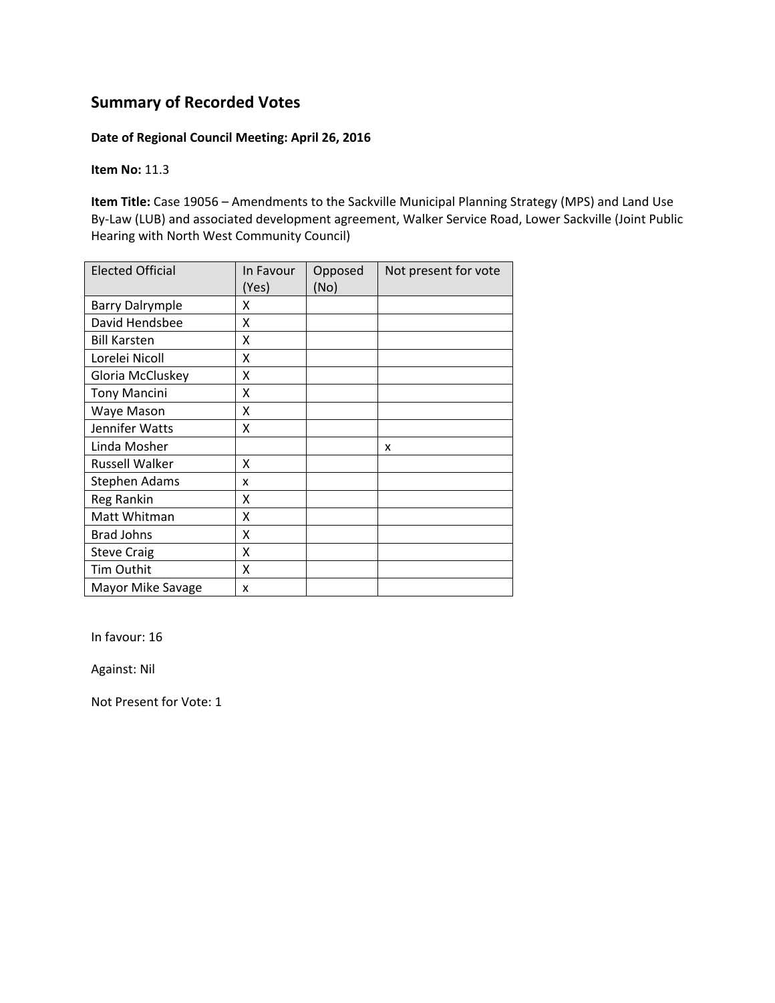### **Date of Regional Council Meeting: April 26, 2016**

**Item No:** 11.3

**Item Title:** Case 19056 – Amendments to the Sackville Municipal Planning Strategy (MPS) and Land Use By-Law (LUB) and associated development agreement, Walker Service Road, Lower Sackville (Joint Public Hearing with North West Community Council)

| <b>Elected Official</b> | In Favour | Opposed | Not present for vote |
|-------------------------|-----------|---------|----------------------|
|                         | (Yes)     | (No)    |                      |
| <b>Barry Dalrymple</b>  | x         |         |                      |
| David Hendsbee          | X         |         |                      |
| <b>Bill Karsten</b>     | Χ         |         |                      |
| Lorelei Nicoll          | x         |         |                      |
| Gloria McCluskey        | X         |         |                      |
| <b>Tony Mancini</b>     | x         |         |                      |
| Waye Mason              | x         |         |                      |
| Jennifer Watts          | X         |         |                      |
| Linda Mosher            |           |         | x                    |
| <b>Russell Walker</b>   | X         |         |                      |
| Stephen Adams           | x         |         |                      |
| Reg Rankin              | x         |         |                      |
| Matt Whitman            | Χ         |         |                      |
| <b>Brad Johns</b>       | Χ         |         |                      |
| <b>Steve Craig</b>      | Χ         |         |                      |
| Tim Outhit              | Χ         |         |                      |
| Mayor Mike Savage       | x         |         |                      |

In favour: 16

Against: Nil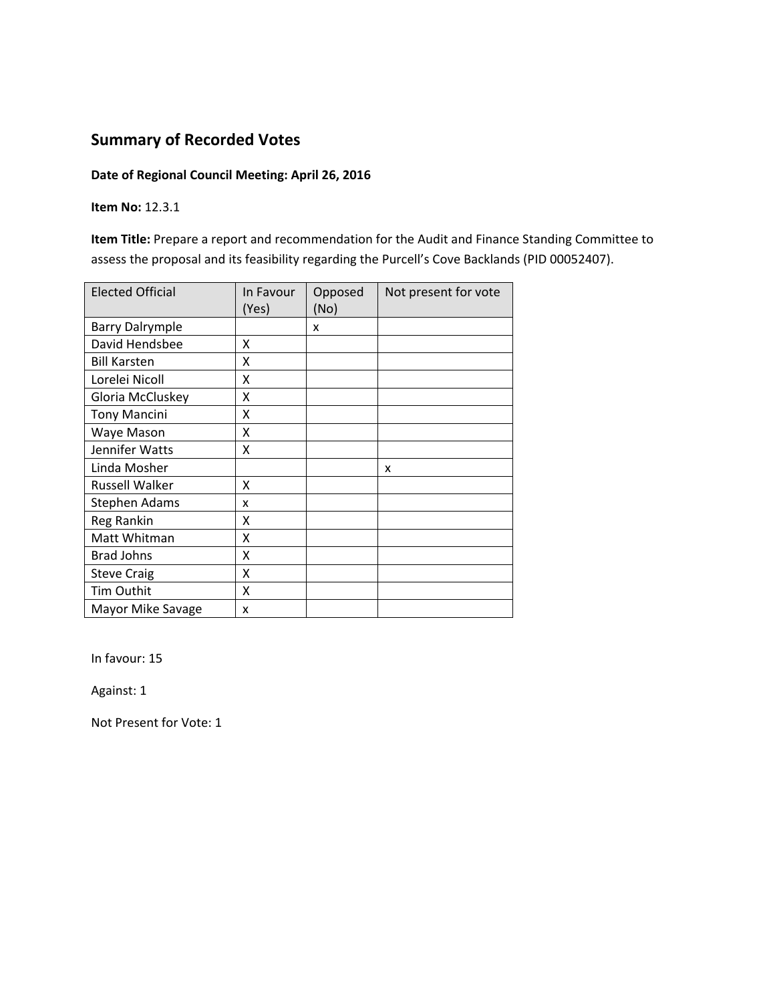### **Date of Regional Council Meeting: April 26, 2016**

**Item No:** 12.3.1

**Item Title:** Prepare a report and recommendation for the Audit and Finance Standing Committee to assess the proposal and its feasibility regarding the Purcell's Cove Backlands (PID 00052407).

| <b>Elected Official</b> | In Favour<br>(Yes) | Opposed<br>(No) | Not present for vote |
|-------------------------|--------------------|-----------------|----------------------|
| <b>Barry Dalrymple</b>  |                    | x               |                      |
| David Hendsbee          | X                  |                 |                      |
| <b>Bill Karsten</b>     | Χ                  |                 |                      |
| Lorelei Nicoll          | X                  |                 |                      |
| Gloria McCluskey        | X                  |                 |                      |
| <b>Tony Mancini</b>     | X                  |                 |                      |
| Waye Mason              | Χ                  |                 |                      |
| Jennifer Watts          | Χ                  |                 |                      |
| Linda Mosher            |                    |                 | x                    |
| <b>Russell Walker</b>   | X                  |                 |                      |
| Stephen Adams           | x                  |                 |                      |
| Reg Rankin              | χ                  |                 |                      |
| Matt Whitman            | Χ                  |                 |                      |
| <b>Brad Johns</b>       | Χ                  |                 |                      |
| <b>Steve Craig</b>      | Χ                  |                 |                      |
| Tim Outhit              | X                  |                 |                      |
| Mayor Mike Savage       | x                  |                 |                      |

In favour: 15

Against: 1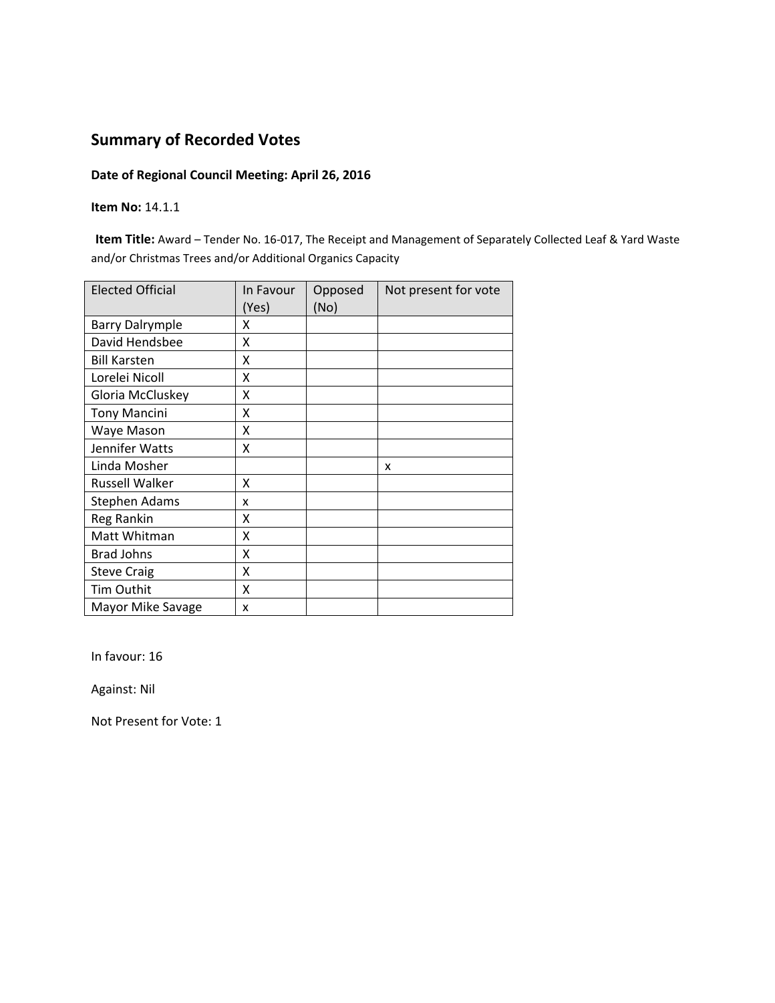### **Date of Regional Council Meeting: April 26, 2016**

#### **Item No:** 14.1.1

**Item Title:** Award – Tender No. 16‐017, The Receipt and Management of Separately Collected Leaf & Yard Waste and/or Christmas Trees and/or Additional Organics Capacity

| <b>Elected Official</b> | In Favour<br>(Yes) | Opposed<br>(No) | Not present for vote |
|-------------------------|--------------------|-----------------|----------------------|
| <b>Barry Dalrymple</b>  | x                  |                 |                      |
| David Hendsbee          | X                  |                 |                      |
| <b>Bill Karsten</b>     | X                  |                 |                      |
| Lorelei Nicoll          | X                  |                 |                      |
| Gloria McCluskey        | X                  |                 |                      |
| <b>Tony Mancini</b>     | Χ                  |                 |                      |
| Waye Mason              | X                  |                 |                      |
| Jennifer Watts          | X                  |                 |                      |
| Linda Mosher            |                    |                 | X                    |
| <b>Russell Walker</b>   | x                  |                 |                      |
| <b>Stephen Adams</b>    | x                  |                 |                      |
| Reg Rankin              | x                  |                 |                      |
| Matt Whitman            | Χ                  |                 |                      |
| <b>Brad Johns</b>       | X                  |                 |                      |
| <b>Steve Craig</b>      | X                  |                 |                      |
| Tim Outhit              | X                  |                 |                      |
| Mayor Mike Savage       | x                  |                 |                      |

In favour: 16

Against: Nil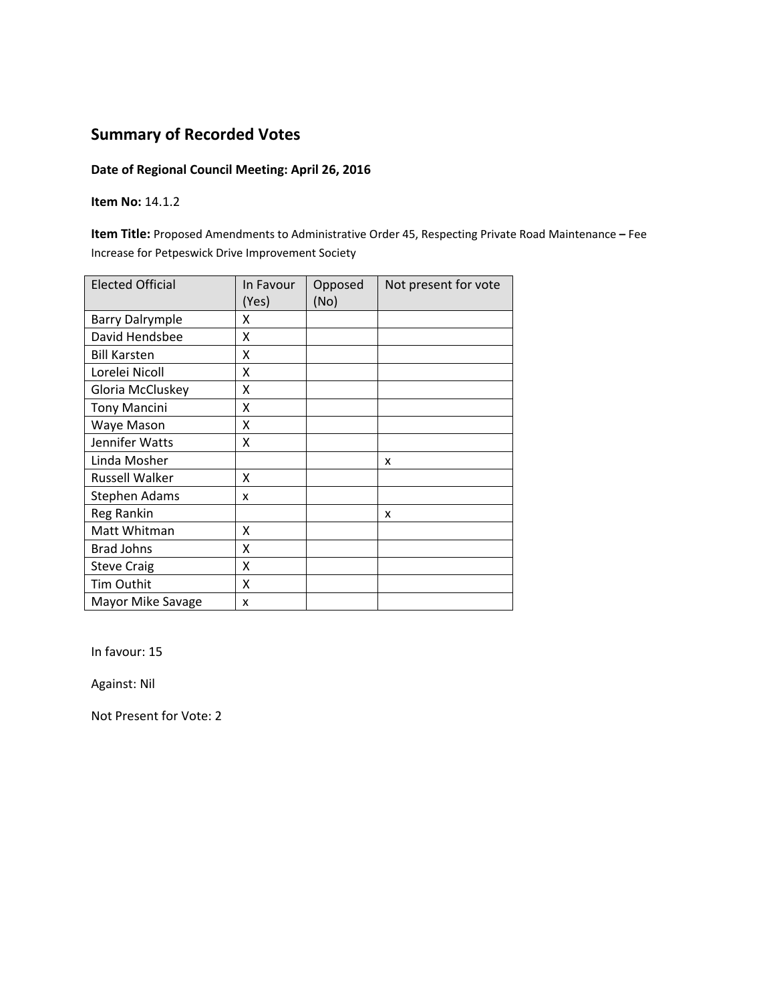## **Date of Regional Council Meeting: April 26, 2016**

**Item No:** 14.1.2

**Item Title:** Proposed Amendments to Administrative Order 45, Respecting Private Road Maintenance **–** Fee Increase for Petpeswick Drive Improvement Society

| <b>Elected Official</b> | In Favour<br>(Yes) | Opposed<br>(No) | Not present for vote |
|-------------------------|--------------------|-----------------|----------------------|
| <b>Barry Dalrymple</b>  | x                  |                 |                      |
| David Hendsbee          | x                  |                 |                      |
| <b>Bill Karsten</b>     | Χ                  |                 |                      |
| Lorelei Nicoll          | X                  |                 |                      |
| Gloria McCluskey        | Χ                  |                 |                      |
| <b>Tony Mancini</b>     | Χ                  |                 |                      |
| Waye Mason              | X                  |                 |                      |
| Jennifer Watts          | x                  |                 |                      |
| Linda Mosher            |                    |                 | x                    |
| <b>Russell Walker</b>   | x                  |                 |                      |
| <b>Stephen Adams</b>    | x                  |                 |                      |
| Reg Rankin              |                    |                 | x                    |
| Matt Whitman            | X                  |                 |                      |
| <b>Brad Johns</b>       | X                  |                 |                      |
| <b>Steve Craig</b>      | X                  |                 |                      |
| Tim Outhit              | x                  |                 |                      |
| Mayor Mike Savage       | x                  |                 |                      |

In favour: 15

Against: Nil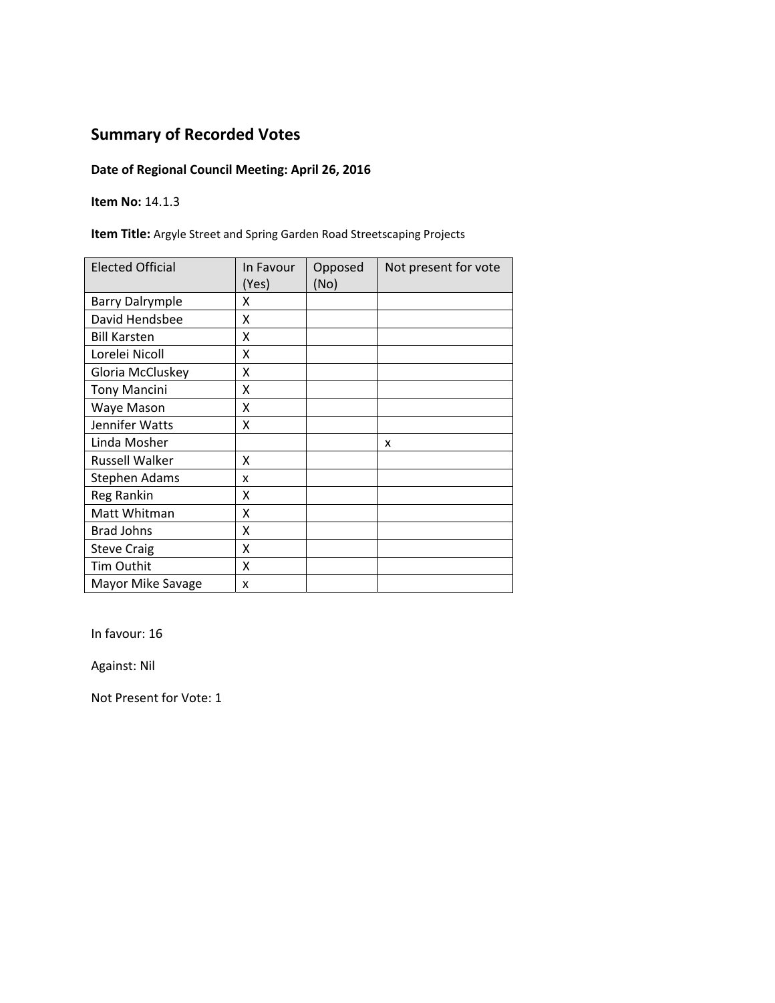## **Date of Regional Council Meeting: April 26, 2016**

**Item No:** 14.1.3

**Item Title:** Argyle Street and Spring Garden Road Streetscaping Projects

| <b>Elected Official</b> | In Favour<br>(Yes) | Opposed<br>(No) | Not present for vote |
|-------------------------|--------------------|-----------------|----------------------|
| <b>Barry Dalrymple</b>  | x                  |                 |                      |
| David Hendsbee          | Χ                  |                 |                      |
| <b>Bill Karsten</b>     | X                  |                 |                      |
| Lorelei Nicoll          | X                  |                 |                      |
| Gloria McCluskey        | X                  |                 |                      |
| <b>Tony Mancini</b>     | Χ                  |                 |                      |
| Waye Mason              | Χ                  |                 |                      |
| Jennifer Watts          | X                  |                 |                      |
| Linda Mosher            |                    |                 | X                    |
| <b>Russell Walker</b>   | x                  |                 |                      |
| <b>Stephen Adams</b>    | x                  |                 |                      |
| Reg Rankin              | X                  |                 |                      |
| Matt Whitman            | X                  |                 |                      |
| <b>Brad Johns</b>       | X                  |                 |                      |
| <b>Steve Craig</b>      | X                  |                 |                      |
| Tim Outhit              | X                  |                 |                      |
| Mayor Mike Savage       | x                  |                 |                      |

In favour: 16

Against: Nil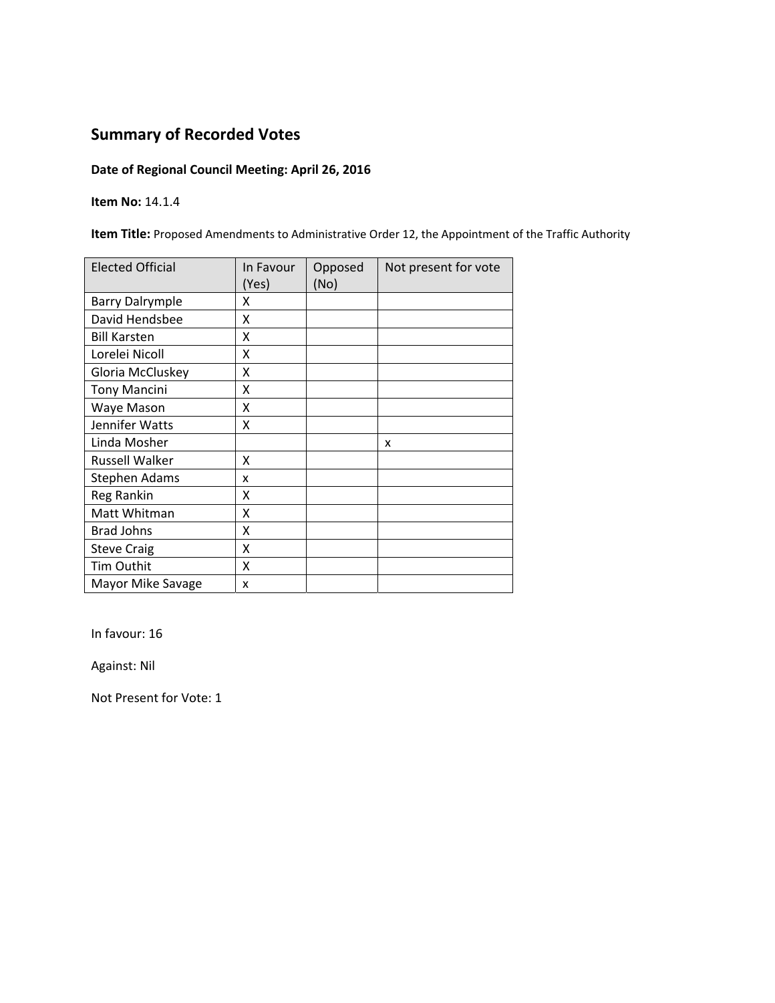## **Date of Regional Council Meeting: April 26, 2016**

**Item No:** 14.1.4

**Item Title:** Proposed Amendments to Administrative Order 12, the Appointment of the Traffic Authority

| <b>Elected Official</b> | In Favour<br>(Yes) | Opposed<br>(No) | Not present for vote |
|-------------------------|--------------------|-----------------|----------------------|
| <b>Barry Dalrymple</b>  | x                  |                 |                      |
| David Hendsbee          | X                  |                 |                      |
| <b>Bill Karsten</b>     | x                  |                 |                      |
| Lorelei Nicoll          | Χ                  |                 |                      |
| Gloria McCluskey        | Χ                  |                 |                      |
| <b>Tony Mancini</b>     | Χ                  |                 |                      |
| Waye Mason              | X                  |                 |                      |
| Jennifer Watts          | X                  |                 |                      |
| Linda Mosher            |                    |                 | x                    |
| <b>Russell Walker</b>   | x                  |                 |                      |
| Stephen Adams           | x                  |                 |                      |
| Reg Rankin              | X                  |                 |                      |
| Matt Whitman            | Χ                  |                 |                      |
| <b>Brad Johns</b>       | X                  |                 |                      |
| <b>Steve Craig</b>      | Χ                  |                 |                      |
| Tim Outhit              | Χ                  |                 |                      |
| Mayor Mike Savage       | X                  |                 |                      |

In favour: 16

Against: Nil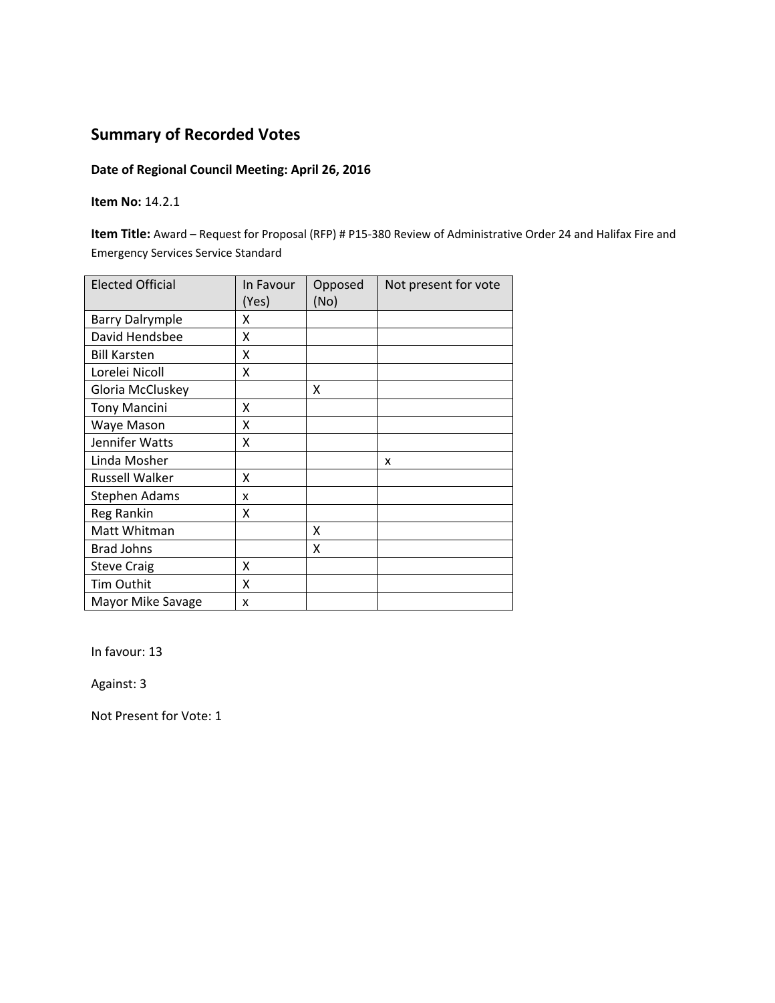## **Date of Regional Council Meeting: April 26, 2016**

**Item No:** 14.2.1

**Item Title:** Award – Request for Proposal (RFP) # P15‐380 Review of Administrative Order 24 and Halifax Fire and Emergency Services Service Standard

| <b>Elected Official</b> | In Favour<br>(Yes) | Opposed<br>(No) | Not present for vote |
|-------------------------|--------------------|-----------------|----------------------|
| <b>Barry Dalrymple</b>  | x                  |                 |                      |
| David Hendsbee          | X                  |                 |                      |
| <b>Bill Karsten</b>     | X                  |                 |                      |
| Lorelei Nicoll          | X                  |                 |                      |
| Gloria McCluskey        |                    | x               |                      |
| <b>Tony Mancini</b>     | x                  |                 |                      |
| Waye Mason              | X                  |                 |                      |
| Jennifer Watts          | X                  |                 |                      |
| Linda Mosher            |                    |                 | x                    |
| <b>Russell Walker</b>   | X                  |                 |                      |
| <b>Stephen Adams</b>    | x                  |                 |                      |
| Reg Rankin              | Χ                  |                 |                      |
| Matt Whitman            |                    | x               |                      |
| <b>Brad Johns</b>       |                    | x               |                      |
| <b>Steve Craig</b>      | x                  |                 |                      |
| Tim Outhit              | X                  |                 |                      |
| Mayor Mike Savage       | x                  |                 |                      |

In favour: 13

Against: 3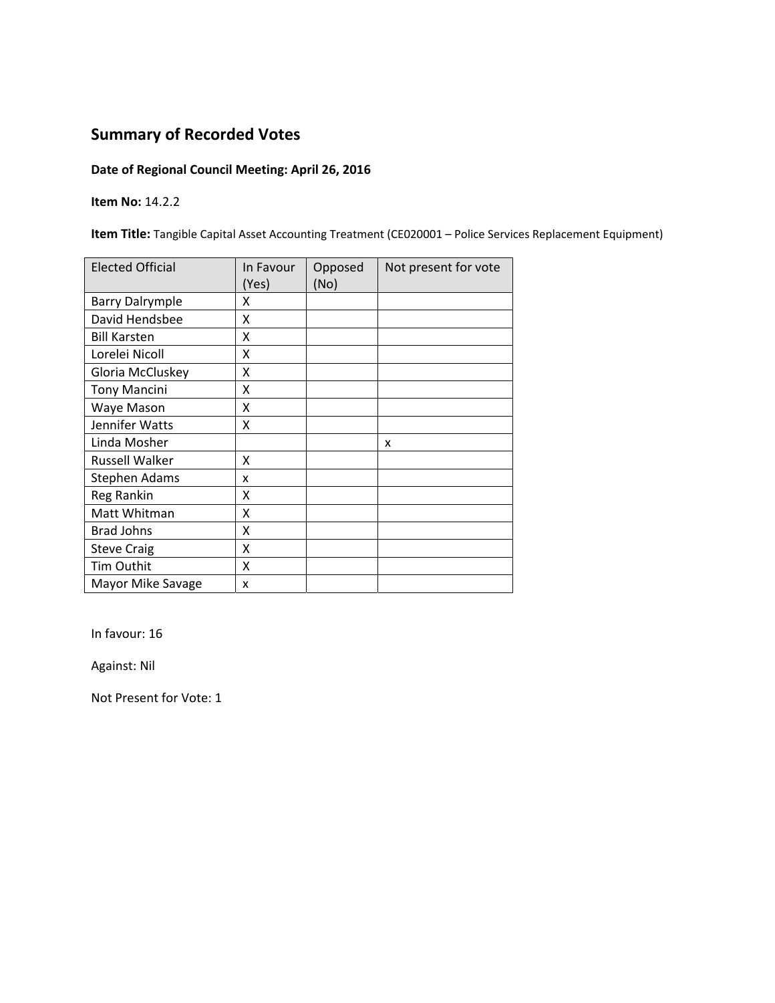## **Date of Regional Council Meeting: April 26, 2016**

**Item No:** 14.2.2

**Item Title:** Tangible Capital Asset Accounting Treatment (CE020001 – Police Services Replacement Equipment)

| <b>Elected Official</b> | In Favour<br>(Yes) | Opposed<br>(No) | Not present for vote |
|-------------------------|--------------------|-----------------|----------------------|
| <b>Barry Dalrymple</b>  | x                  |                 |                      |
| David Hendsbee          | X                  |                 |                      |
| <b>Bill Karsten</b>     | x                  |                 |                      |
| Lorelei Nicoll          | x                  |                 |                      |
| Gloria McCluskey        | Χ                  |                 |                      |
| <b>Tony Mancini</b>     | Χ                  |                 |                      |
| Waye Mason              | x                  |                 |                      |
| Jennifer Watts          | x                  |                 |                      |
| Linda Mosher            |                    |                 | X                    |
| <b>Russell Walker</b>   | Χ                  |                 |                      |
| <b>Stephen Adams</b>    | x                  |                 |                      |
| Reg Rankin              | x                  |                 |                      |
| Matt Whitman            | X                  |                 |                      |
| <b>Brad Johns</b>       | X                  |                 |                      |
| <b>Steve Craig</b>      | X                  |                 |                      |
| Tim Outhit              | X                  |                 |                      |
| Mayor Mike Savage       | X                  |                 |                      |

In favour: 16

Against: Nil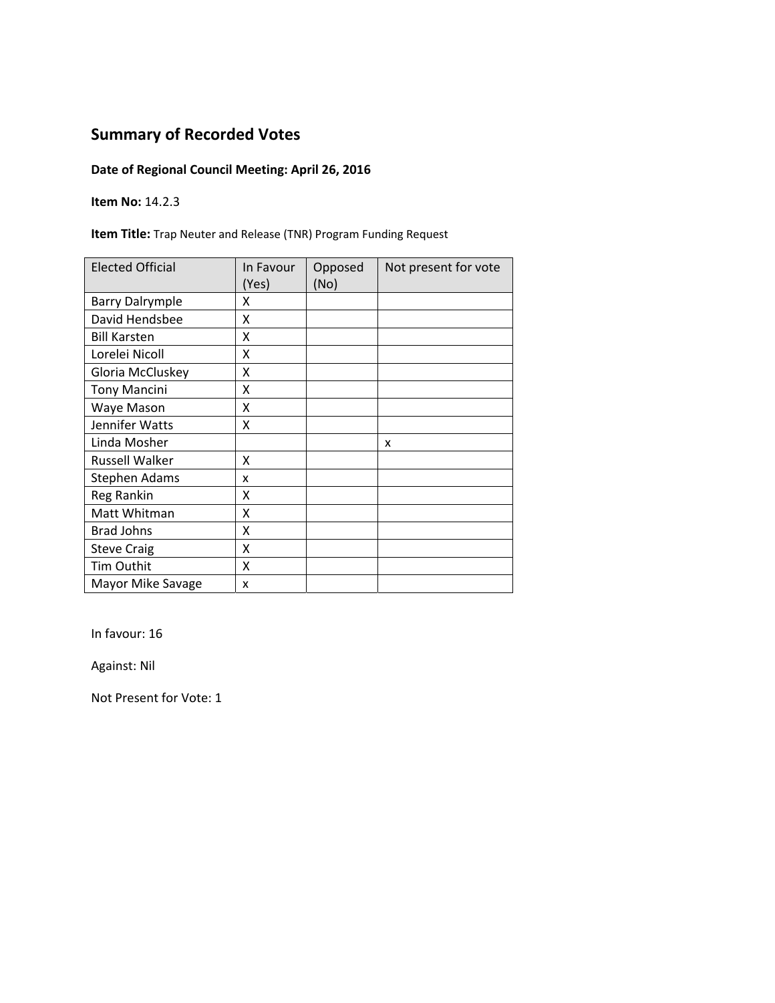## **Date of Regional Council Meeting: April 26, 2016**

**Item No:** 14.2.3

**Item Title:** Trap Neuter and Release (TNR) Program Funding Request

| <b>Elected Official</b> | In Favour<br>(Yes) | Opposed<br>(No) | Not present for vote |
|-------------------------|--------------------|-----------------|----------------------|
| <b>Barry Dalrymple</b>  | x                  |                 |                      |
| David Hendsbee          | x                  |                 |                      |
| <b>Bill Karsten</b>     | X                  |                 |                      |
| Lorelei Nicoll          | x                  |                 |                      |
| Gloria McCluskey        | X                  |                 |                      |
| <b>Tony Mancini</b>     | X                  |                 |                      |
| Waye Mason              | Χ                  |                 |                      |
| Jennifer Watts          | X                  |                 |                      |
| Linda Mosher            |                    |                 | X                    |
| <b>Russell Walker</b>   | x                  |                 |                      |
| <b>Stephen Adams</b>    | x                  |                 |                      |
| <b>Reg Rankin</b>       | x                  |                 |                      |
| Matt Whitman            | X                  |                 |                      |
| <b>Brad Johns</b>       | Χ                  |                 |                      |
| <b>Steve Craig</b>      | X                  |                 |                      |
| Tim Outhit              | X                  |                 |                      |
| Mayor Mike Savage       | x                  |                 |                      |

In favour: 16

Against: Nil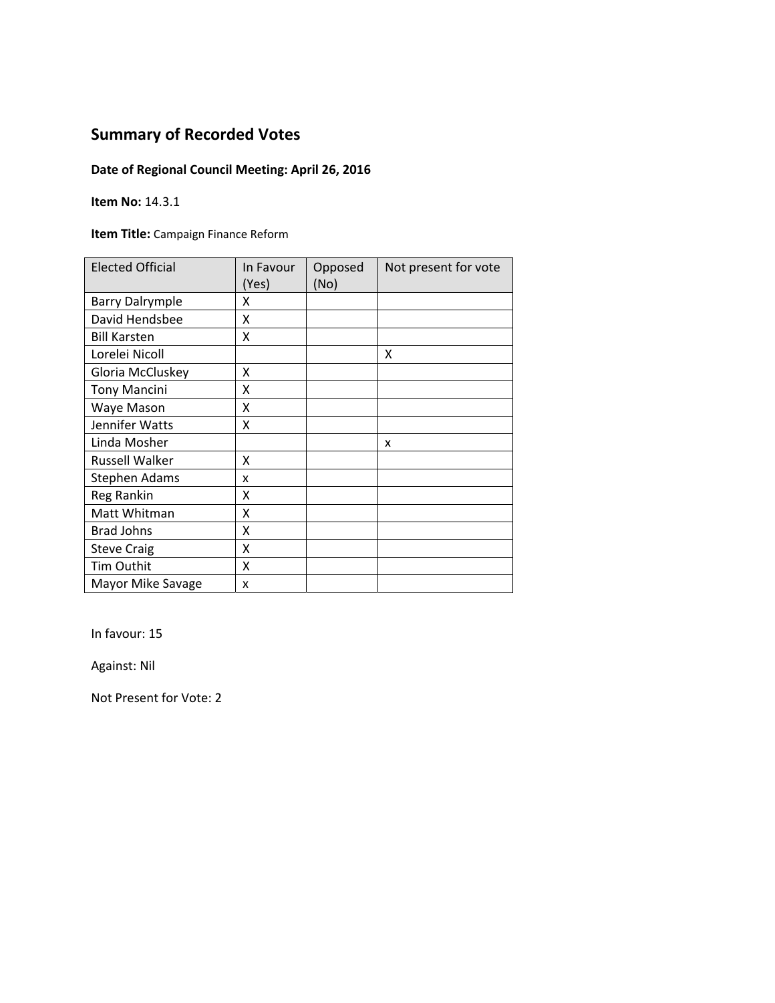## **Date of Regional Council Meeting: April 26, 2016**

**Item No:** 14.3.1

**Item Title:** Campaign Finance Reform

| <b>Elected Official</b> | In Favour<br>(Yes) | Opposed<br>(No) | Not present for vote |
|-------------------------|--------------------|-----------------|----------------------|
| <b>Barry Dalrymple</b>  | x                  |                 |                      |
| David Hendsbee          | X                  |                 |                      |
| <b>Bill Karsten</b>     | X                  |                 |                      |
| Lorelei Nicoll          |                    |                 | X                    |
| Gloria McCluskey        | X                  |                 |                      |
| <b>Tony Mancini</b>     | Χ                  |                 |                      |
| Waye Mason              | Χ                  |                 |                      |
| Jennifer Watts          | Χ                  |                 |                      |
| Linda Mosher            |                    |                 | x                    |
| <b>Russell Walker</b>   | x                  |                 |                      |
| Stephen Adams           | x                  |                 |                      |
| Reg Rankin              | x                  |                 |                      |
| Matt Whitman            | Χ                  |                 |                      |
| <b>Brad Johns</b>       | X                  |                 |                      |
| <b>Steve Craig</b>      | X                  |                 |                      |
| <b>Tim Outhit</b>       | Χ                  |                 |                      |
| Mayor Mike Savage       | x                  |                 |                      |

In favour: 15

Against: Nil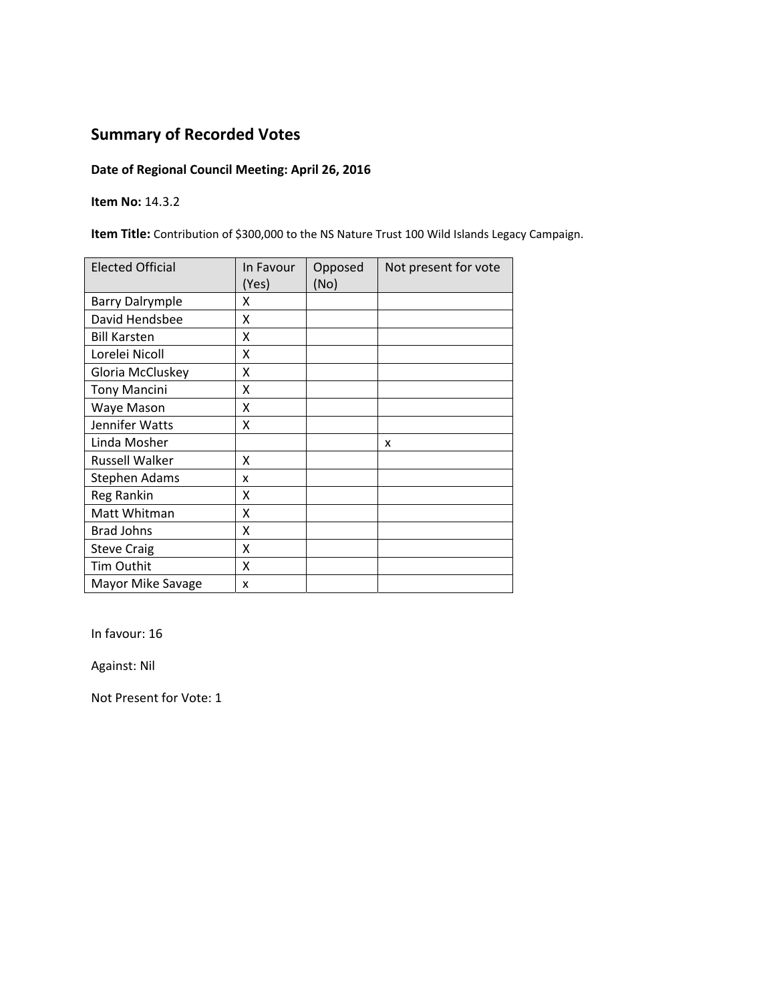## **Date of Regional Council Meeting: April 26, 2016**

**Item No:** 14.3.2

**Item Title:** Contribution of \$300,000 to the NS Nature Trust 100 Wild Islands Legacy Campaign.

| <b>Elected Official</b> | In Favour<br>(Yes) | Opposed<br>(No) | Not present for vote |
|-------------------------|--------------------|-----------------|----------------------|
| <b>Barry Dalrymple</b>  | x                  |                 |                      |
| David Hendsbee          | X                  |                 |                      |
| <b>Bill Karsten</b>     | x                  |                 |                      |
| Lorelei Nicoll          | X                  |                 |                      |
| Gloria McCluskey        | X                  |                 |                      |
| <b>Tony Mancini</b>     | Χ                  |                 |                      |
| Waye Mason              | X                  |                 |                      |
| Jennifer Watts          | Χ                  |                 |                      |
| Linda Mosher            |                    |                 | x                    |
| Russell Walker          | x                  |                 |                      |
| Stephen Adams           | x                  |                 |                      |
| Reg Rankin              | X                  |                 |                      |
| Matt Whitman            | X                  |                 |                      |
| <b>Brad Johns</b>       | X                  |                 |                      |
| <b>Steve Craig</b>      | X                  |                 |                      |
| Tim Outhit              | X                  |                 |                      |
| Mayor Mike Savage       | x                  |                 |                      |

In favour: 16

Against: Nil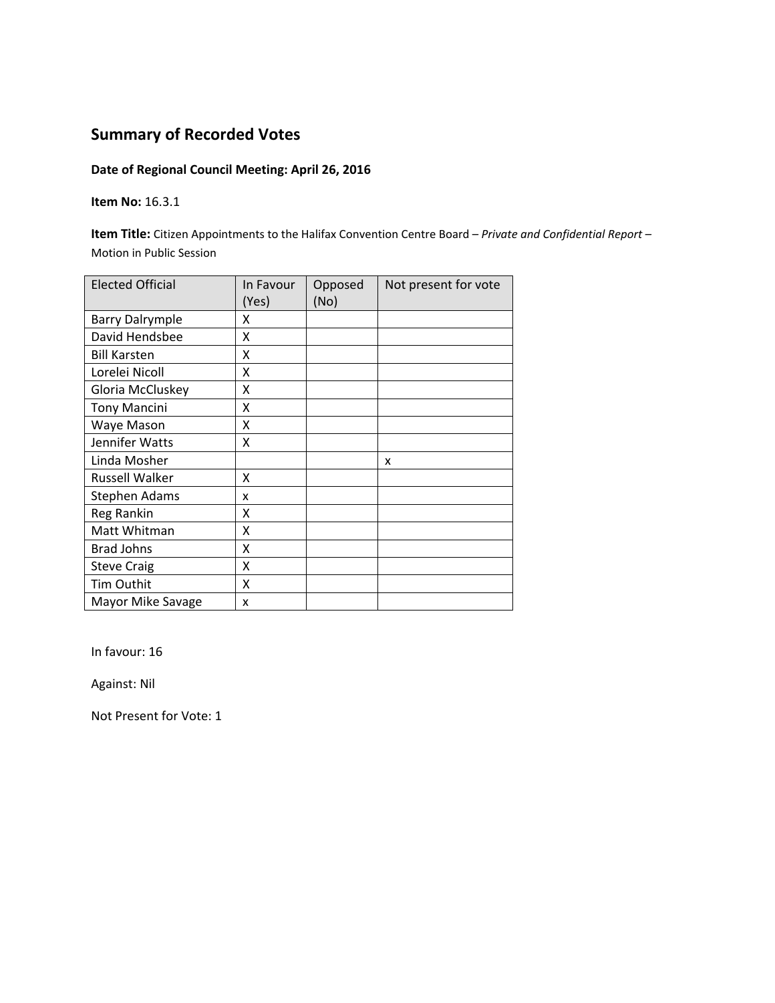## **Date of Regional Council Meeting: April 26, 2016**

#### **Item No:** 16.3.1

**Item Title:** Citizen Appointments to the Halifax Convention Centre Board – *Private and Confidential Report –*  Motion in Public Session

| <b>Elected Official</b> | In Favour<br>(Yes) | Opposed<br>(No) | Not present for vote |
|-------------------------|--------------------|-----------------|----------------------|
| <b>Barry Dalrymple</b>  | x                  |                 |                      |
| David Hendsbee          | x                  |                 |                      |
| <b>Bill Karsten</b>     | Χ                  |                 |                      |
| Lorelei Nicoll          | Χ                  |                 |                      |
| Gloria McCluskey        | Χ                  |                 |                      |
| <b>Tony Mancini</b>     | x                  |                 |                      |
| Waye Mason              | x                  |                 |                      |
| Jennifer Watts          | x                  |                 |                      |
| Linda Mosher            |                    |                 | x                    |
| <b>Russell Walker</b>   | X                  |                 |                      |
| <b>Stephen Adams</b>    | x                  |                 |                      |
| Reg Rankin              | X                  |                 |                      |
| Matt Whitman            | X                  |                 |                      |
| <b>Brad Johns</b>       | X                  |                 |                      |
| <b>Steve Craig</b>      | X                  |                 |                      |
| <b>Tim Outhit</b>       | X                  |                 |                      |
| Mayor Mike Savage       | x                  |                 |                      |

In favour: 16

Against: Nil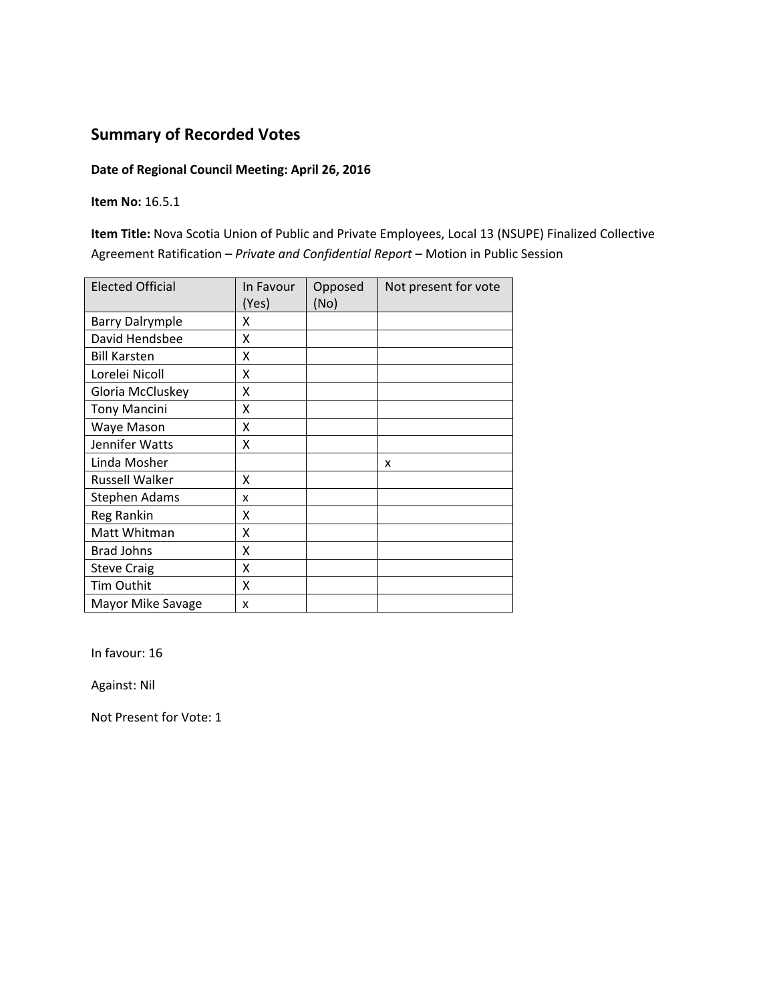## **Date of Regional Council Meeting: April 26, 2016**

**Item No:** 16.5.1

**Item Title:** Nova Scotia Union of Public and Private Employees, Local 13 (NSUPE) Finalized Collective Agreement Ratification – *Private and Confidential Report* – Motion in Public Session

| <b>Elected Official</b> | In Favour<br>(Yes) | Opposed<br>(No) | Not present for vote |
|-------------------------|--------------------|-----------------|----------------------|
| <b>Barry Dalrymple</b>  | x                  |                 |                      |
| David Hendsbee          | X                  |                 |                      |
| <b>Bill Karsten</b>     | x                  |                 |                      |
| Lorelei Nicoll          | X                  |                 |                      |
| Gloria McCluskey        | X                  |                 |                      |
| <b>Tony Mancini</b>     | X                  |                 |                      |
| Waye Mason              | x                  |                 |                      |
| Jennifer Watts          | Χ                  |                 |                      |
| Linda Mosher            |                    |                 | x                    |
| Russell Walker          | X                  |                 |                      |
| <b>Stephen Adams</b>    | x                  |                 |                      |
| Reg Rankin              | Χ                  |                 |                      |
| Matt Whitman            | X                  |                 |                      |
| <b>Brad Johns</b>       | X                  |                 |                      |
| <b>Steve Craig</b>      | Χ                  |                 |                      |
| Tim Outhit              | X                  |                 |                      |
| Mayor Mike Savage       | x                  |                 |                      |

In favour: 16

Against: Nil